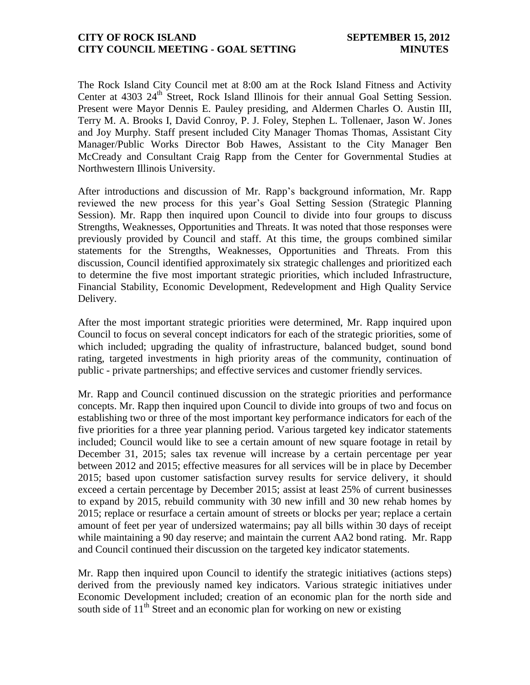## **CITY OF ROCK ISLAND SEPTEMBER 15, 2012 CITY COUNCIL MEETING - GOAL SETTING MINUTES**

The Rock Island City Council met at 8:00 am at the Rock Island Fitness and Activity Center at 4303 24<sup>th</sup> Street, Rock Island Illinois for their annual Goal Setting Session. Present were Mayor Dennis E. Pauley presiding, and Aldermen Charles O. Austin III, Terry M. A. Brooks I, David Conroy, P. J. Foley, Stephen L. Tollenaer, Jason W. Jones and Joy Murphy. Staff present included City Manager Thomas Thomas, Assistant City Manager/Public Works Director Bob Hawes, Assistant to the City Manager Ben McCready and Consultant Craig Rapp from the Center for Governmental Studies at Northwestern Illinois University.

After introductions and discussion of Mr. Rapp's background information, Mr. Rapp reviewed the new process for this year's Goal Setting Session (Strategic Planning Session). Mr. Rapp then inquired upon Council to divide into four groups to discuss Strengths, Weaknesses, Opportunities and Threats. It was noted that those responses were previously provided by Council and staff. At this time, the groups combined similar statements for the Strengths, Weaknesses, Opportunities and Threats. From this discussion, Council identified approximately six strategic challenges and prioritized each to determine the five most important strategic priorities, which included Infrastructure, Financial Stability, Economic Development, Redevelopment and High Quality Service Delivery.

After the most important strategic priorities were determined, Mr. Rapp inquired upon Council to focus on several concept indicators for each of the strategic priorities, some of which included; upgrading the quality of infrastructure, balanced budget, sound bond rating, targeted investments in high priority areas of the community, continuation of public - private partnerships; and effective services and customer friendly services.

Mr. Rapp and Council continued discussion on the strategic priorities and performance concepts. Mr. Rapp then inquired upon Council to divide into groups of two and focus on establishing two or three of the most important key performance indicators for each of the five priorities for a three year planning period. Various targeted key indicator statements included; Council would like to see a certain amount of new square footage in retail by December 31, 2015; sales tax revenue will increase by a certain percentage per year between 2012 and 2015; effective measures for all services will be in place by December 2015; based upon customer satisfaction survey results for service delivery, it should exceed a certain percentage by December 2015; assist at least 25% of current businesses to expand by 2015, rebuild community with 30 new infill and 30 new rehab homes by 2015; replace or resurface a certain amount of streets or blocks per year; replace a certain amount of feet per year of undersized watermains; pay all bills within 30 days of receipt while maintaining a 90 day reserve; and maintain the current AA2 bond rating. Mr. Rapp and Council continued their discussion on the targeted key indicator statements.

Mr. Rapp then inquired upon Council to identify the strategic initiatives (actions steps) derived from the previously named key indicators. Various strategic initiatives under Economic Development included; creation of an economic plan for the north side and south side of  $11<sup>th</sup>$  Street and an economic plan for working on new or existing